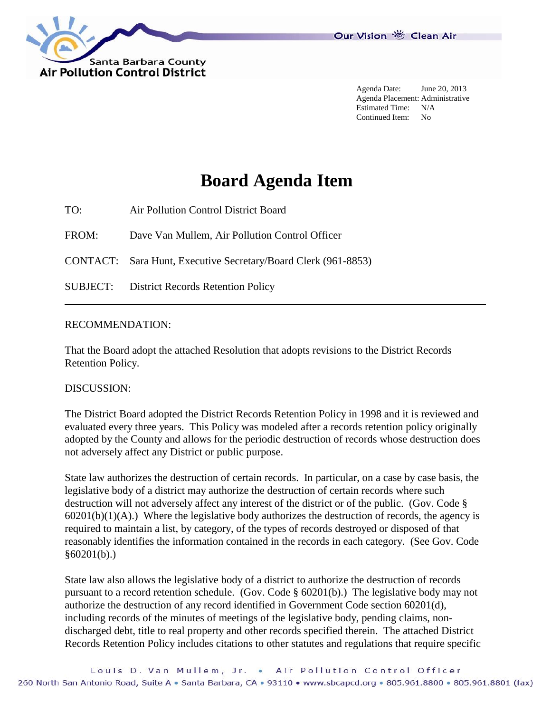

Agenda Date: June 20, 2013 Agenda Placement: Administrative Estimated Time: N/A Continued Item: No

## **Board Agenda Item**

TO: Air Pollution Control District Board

FROM: Dave Van Mullem, Air Pollution Control Officer

CONTACT: Sara Hunt, Executive Secretary/Board Clerk (961-8853)

SUBJECT: District Records Retention Policy

## RECOMMENDATION:

That the Board adopt the attached Resolution that adopts revisions to the District Records Retention Policy.

## DISCUSSION:

The District Board adopted the District Records Retention Policy in 1998 and it is reviewed and evaluated every three years. This Policy was modeled after a records retention policy originally adopted by the County and allows for the periodic destruction of records whose destruction does not adversely affect any District or public purpose.

State law authorizes the destruction of certain records. In particular, on a case by case basis, the legislative body of a district may authorize the destruction of certain records where such destruction will not adversely affect any interest of the district or of the public. (Gov. Code §  $60201(b)(1)(A)$ .) Where the legislative body authorizes the destruction of records, the agency is required to maintain a list, by category, of the types of records destroyed or disposed of that reasonably identifies the information contained in the records in each category. (See Gov. Code §60201(b).)

State law also allows the legislative body of a district to authorize the destruction of records pursuant to a record retention schedule. (Gov. Code § 60201(b).) The legislative body may not authorize the destruction of any record identified in Government Code section 60201(d), including records of the minutes of meetings of the legislative body, pending claims, nondischarged debt, title to real property and other records specified therein. The attached District Records Retention Policy includes citations to other statutes and regulations that require specific